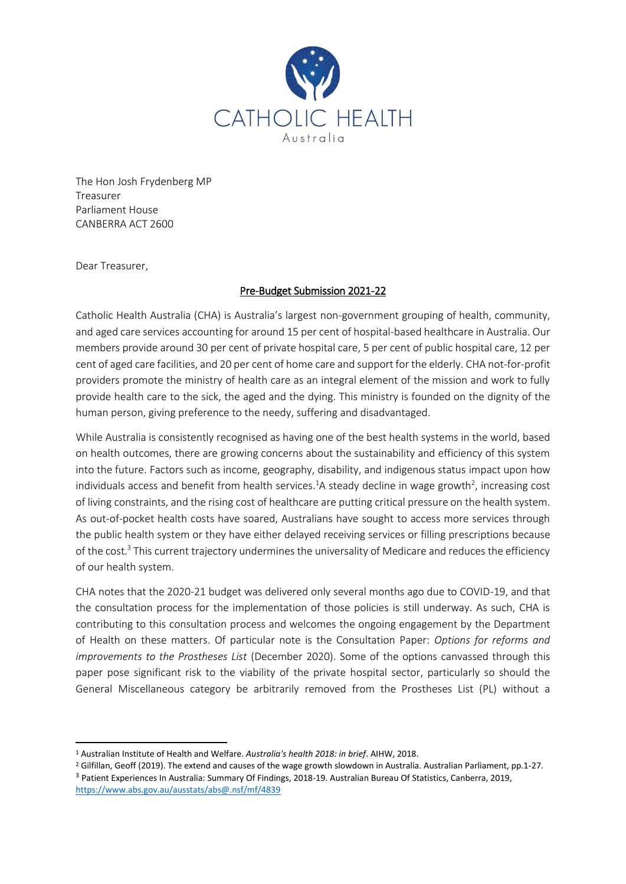

The Hon Josh Frydenberg MP Treasurer Parliament House CANBERRA ACT 2600

Dear Treasurer,

# Pre-Budget Submission 2021-22

Catholic Health Australia (CHA) is Australia's largest non-government grouping of health, community, and aged care services accounting for around 15 per cent of hospital-based healthcare in Australia. Our members provide around 30 per cent of private hospital care, 5 per cent of public hospital care, 12 per cent of aged care facilities, and 20 per cent of home care and support for the elderly.CHA not-for-profit providers promote the ministry of health care as an integral element of the mission and work to fully provide health care to the sick, the aged and the dying. This ministry is founded on the dignity of the human person, giving preference to the needy, suffering and disadvantaged.

While Australia is consistently recognised as having one of the best health systems in the world, based on health outcomes, there are growing concerns about the sustainability and efficiency of this system into the future. Factors such as income, geography, disability, and indigenous status impact upon how individuals access and benefit from health services.<sup>1</sup>A steady decline in wage growth<sup>2</sup>, increasing cost of living constraints, and the rising cost of healthcare are putting critical pressure on the health system. As out-of-pocket health costs have soared, Australians have sought to access more services through the public health system or they have either delayed receiving services or filling prescriptions because of the cost. $3$  This current trajectory undermines the universality of Medicare and reduces the efficiency of our health system.

CHA notes that the 2020-21 budget was delivered only several months ago due to COVID-19, and that the consultation process for the implementation of those policies is still underway. As such, CHA is contributing to this consultation process and welcomes the ongoing engagement by the Department of Health on these matters. Of particular note is the Consultation Paper: *Options for reforms and improvements to the Prostheses List* (December 2020). Some of the options canvassed through this paper pose significant risk to the viability of the private hospital sector, particularly so should the General Miscellaneous category be arbitrarily removed from the Prostheses List (PL) without a

**<sup>.</sup>** <sup>1</sup> Australian Institute of Health and Welfare. *Australia's health 2018: in brief*. AIHW, 2018.

<sup>2</sup> Gilfillan, Geoff (2019). The extend and causes of the wage growth slowdown in Australia. Australian Parliament, pp.1-27. <sup>3</sup> Patient Experiences In Australia: Summary Of Findings, 2018-19. Australian Bureau Of Statistics, Canberra, 2019, <https://www.abs.gov.au/ausstats/abs@.nsf/mf/4839>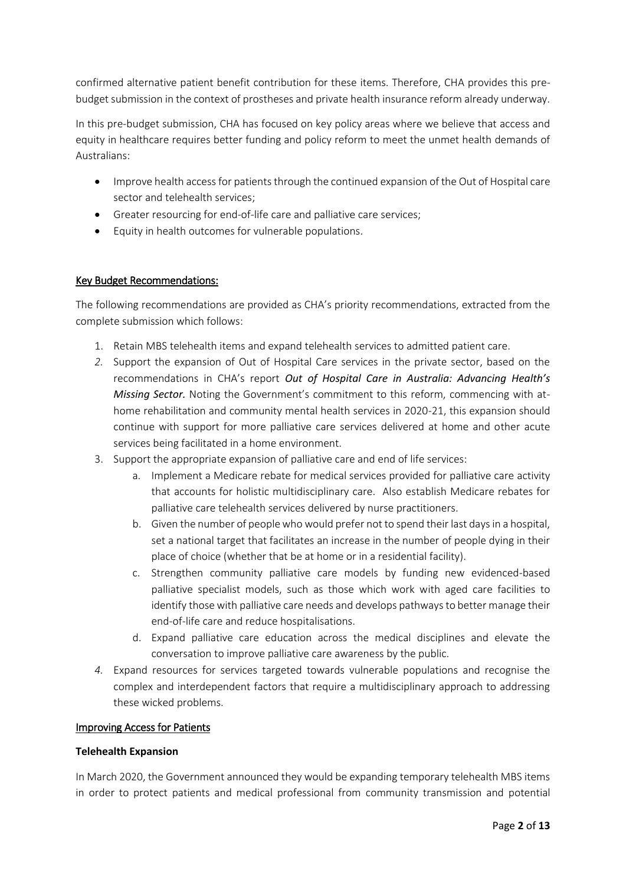confirmed alternative patient benefit contribution for these items. Therefore, CHA provides this prebudget submission in the context of prostheses and private health insurance reform already underway.

In this pre-budget submission, CHA has focused on key policy areas where we believe that access and equity in healthcare requires better funding and policy reform to meet the unmet health demands of Australians:

- Improve health access for patients through the continued expansion of the Out of Hospital care sector and telehealth services;
- Greater resourcing for end-of-life care and palliative care services;
- Equity in health outcomes for vulnerable populations.

# Key Budget Recommendations:

The following recommendations are provided as CHA's priority recommendations, extracted from the complete submission which follows:

- 1. Retain MBS telehealth items and expand telehealth services to admitted patient care.
- *2.* Support the expansion of Out of Hospital Care services in the private sector, based on the recommendations in CHA's report *Out of Hospital Care in Australia: Advancing Health's Missing Sector.* Noting the Government's commitment to this reform, commencing with athome rehabilitation and community mental health services in 2020-21, this expansion should continue with support for more palliative care services delivered at home and other acute services being facilitated in a home environment.
- 3. Support the appropriate expansion of palliative care and end of life services:
	- a. Implement a Medicare rebate for medical services provided for palliative care activity that accounts for holistic multidisciplinary care. Also establish Medicare rebates for palliative care telehealth services delivered by nurse practitioners.
	- b. Given the number of people who would prefer not to spend their last days in a hospital, set a national target that facilitates an increase in the number of people dying in their place of choice (whether that be at home or in a residential facility).
	- c. Strengthen community palliative care models by funding new evidenced-based palliative specialist models, such as those which work with aged care facilities to identify those with palliative care needs and develops pathways to better manage their end-of-life care and reduce hospitalisations.
	- d. Expand palliative care education across the medical disciplines and elevate the conversation to improve palliative care awareness by the public.
- *4.* Expand resources for services targeted towards vulnerable populations and recognise the complex and interdependent factors that require a multidisciplinary approach to addressing these wicked problems.

### Improving Access for Patients

### **Telehealth Expansion**

In March 2020, the Government announced they would be expanding temporary telehealth MBS items in order to protect patients and medical professional from community transmission and potential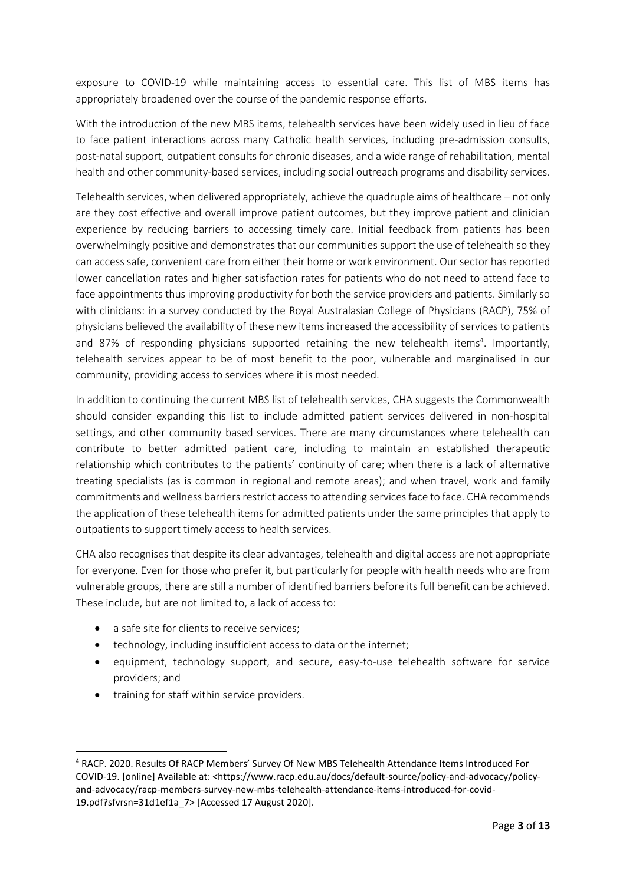exposure to COVID-19 while maintaining access to essential care. This list of MBS items has appropriately broadened over the course of the pandemic response efforts.

With the introduction of the new MBS items, telehealth services have been widely used in lieu of face to face patient interactions across many Catholic health services, including pre-admission consults, post-natal support, outpatient consults for chronic diseases, and a wide range of rehabilitation, mental health and other community-based services, including social outreach programs and disability services.

Telehealth services, when delivered appropriately, achieve the quadruple aims of healthcare – not only are they cost effective and overall improve patient outcomes, but they improve patient and clinician experience by reducing barriers to accessing timely care. Initial feedback from patients has been overwhelmingly positive and demonstrates that our communities support the use of telehealth so they can access safe, convenient care from either their home or work environment. Our sector has reported lower cancellation rates and higher satisfaction rates for patients who do not need to attend face to face appointments thus improving productivity for both the service providers and patients. Similarly so with clinicians: in a survey conducted by the Royal Australasian College of Physicians (RACP), 75% of physicians believed the availability of these new items increased the accessibility of services to patients and 87% of responding physicians supported retaining the new telehealth items<sup>4</sup>. Importantly, telehealth services appear to be of most benefit to the poor, vulnerable and marginalised in our community, providing access to services where it is most needed.

In addition to continuing the current MBS list of telehealth services, CHA suggests the Commonwealth should consider expanding this list to include admitted patient services delivered in non-hospital settings, and other community based services. There are many circumstances where telehealth can contribute to better admitted patient care, including to maintain an established therapeutic relationship which contributes to the patients' continuity of care; when there is a lack of alternative treating specialists (as is common in regional and remote areas); and when travel, work and family commitments and wellness barriers restrict access to attending services face to face. CHA recommends the application of these telehealth items for admitted patients under the same principles that apply to outpatients to support timely access to health services.

CHA also recognises that despite its clear advantages, telehealth and digital access are not appropriate for everyone. Even for those who prefer it, but particularly for people with health needs who are from vulnerable groups, there are still a number of identified barriers before its full benefit can be achieved. These include, but are not limited to, a lack of access to:

- a safe site for clients to receive services:
- technology, including insufficient access to data or the internet;
- equipment, technology support, and secure, easy-to-use telehealth software for service providers; and
- training for staff within service providers.

1

<sup>4</sup> RACP. 2020. Results Of RACP Members' Survey Of New MBS Telehealth Attendance Items Introduced For COVID-19. [online] Available at: <https://www.racp.edu.au/docs/default-source/policy-and-advocacy/policyand-advocacy/racp-members-survey-new-mbs-telehealth-attendance-items-introduced-for-covid-19.pdf?sfvrsn=31d1ef1a\_7> [Accessed 17 August 2020].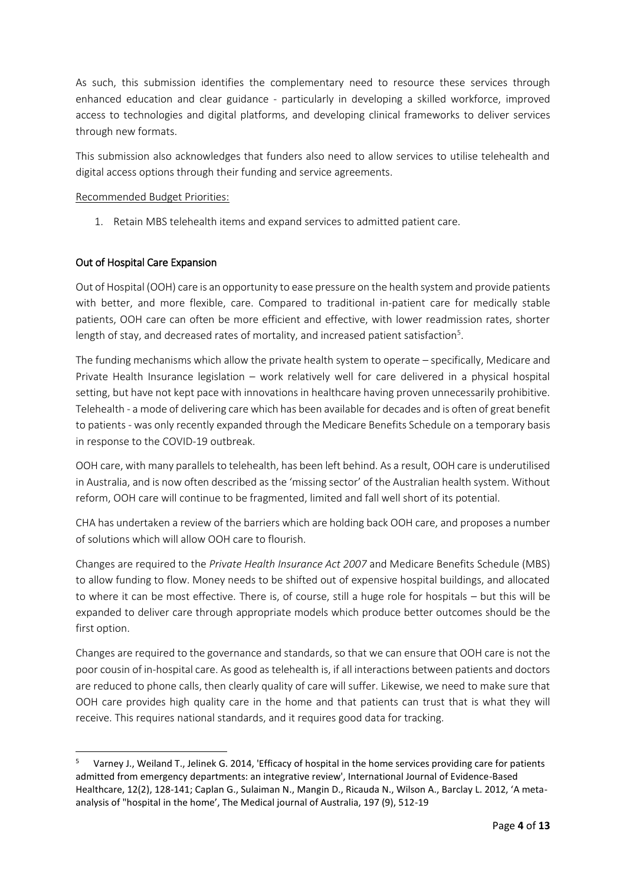As such, this submission identifies the complementary need to resource these services through enhanced education and clear guidance - particularly in developing a skilled workforce, improved access to technologies and digital platforms, and developing clinical frameworks to deliver services through new formats.

This submission also acknowledges that funders also need to allow services to utilise telehealth and digital access options through their funding and service agreements.

# Recommended Budget Priorities:

1. Retain MBS telehealth items and expand services to admitted patient care.

# Out of Hospital Care Expansion

1

Out of Hospital (OOH) care is an opportunity to ease pressure on the health system and provide patients with better, and more flexible, care. Compared to traditional in-patient care for medically stable patients, OOH care can often be more efficient and effective, with lower readmission rates, shorter length of stay, and decreased rates of mortality, and increased patient satisfaction<sup>5</sup>.

The funding mechanisms which allow the private health system to operate – specifically, Medicare and Private Health Insurance legislation – work relatively well for care delivered in a physical hospital setting, but have not kept pace with innovations in healthcare having proven unnecessarily prohibitive. Telehealth - a mode of delivering care which has been available for decades and is often of great benefit to patients - was only recently expanded through the Medicare Benefits Schedule on a temporary basis in response to the COVID-19 outbreak.

OOH care, with many parallels to telehealth, has been left behind. As a result, OOH care is underutilised in Australia, and is now often described as the 'missing sector' of the Australian health system. Without reform, OOH care will continue to be fragmented, limited and fall well short of its potential.

CHA has undertaken a review of the barriers which are holding back OOH care, and proposes a number of solutions which will allow OOH care to flourish.

Changes are required to the *Private Health Insurance Act 2007* and Medicare Benefits Schedule (MBS) to allow funding to flow. Money needs to be shifted out of expensive hospital buildings, and allocated to where it can be most effective. There is, of course, still a huge role for hospitals – but this will be expanded to deliver care through appropriate models which produce better outcomes should be the first option.

Changes are required to the governance and standards, so that we can ensure that OOH care is not the poor cousin of in-hospital care. As good as telehealth is, if all interactions between patients and doctors are reduced to phone calls, then clearly quality of care will suffer. Likewise, we need to make sure that OOH care provides high quality care in the home and that patients can trust that is what they will receive. This requires national standards, and it requires good data for tracking.

<sup>5</sup> Varney J., Weiland T., Jelinek G. 2014, 'Efficacy of hospital in the home services providing care for patients admitted from emergency departments: an integrative review', International Journal of Evidence-Based Healthcare, 12(2), 128-141; Caplan G., Sulaiman N., Mangin D., Ricauda N., Wilson A., Barclay L. 2012, 'A metaanalysis of "hospital in the home', The Medical journal of Australia, 197 (9), 512-19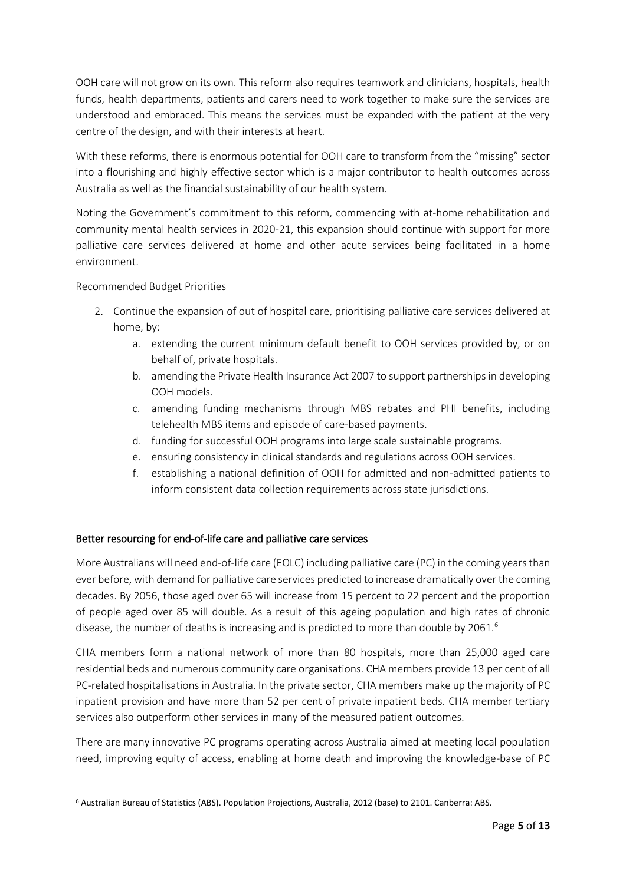OOH care will not grow on its own. This reform also requires teamwork and clinicians, hospitals, health funds, health departments, patients and carers need to work together to make sure the services are understood and embraced. This means the services must be expanded with the patient at the very centre of the design, and with their interests at heart.

With these reforms, there is enormous potential for OOH care to transform from the "missing" sector into a flourishing and highly effective sector which is a major contributor to health outcomes across Australia as well as the financial sustainability of our health system.

Noting the Government's commitment to this reform, commencing with at-home rehabilitation and community mental health services in 2020-21, this expansion should continue with support for more palliative care services delivered at home and other acute services being facilitated in a home environment.

# Recommended Budget Priorities

1

- 2. Continue the expansion of out of hospital care, prioritising palliative care services delivered at home, by:
	- a. extending the current minimum default benefit to OOH services provided by, or on behalf of, private hospitals.
	- b. amending the Private Health Insurance Act 2007 to support partnerships in developing OOH models.
	- c. amending funding mechanisms through MBS rebates and PHI benefits, including telehealth MBS items and episode of care-based payments.
	- d. funding for successful OOH programs into large scale sustainable programs.
	- e. ensuring consistency in clinical standards and regulations across OOH services.
	- f. establishing a national definition of OOH for admitted and non-admitted patients to inform consistent data collection requirements across state jurisdictions.

# Better resourcing for end-of-life care and palliative care services

More Australians will need end-of-life care (EOLC) including palliative care (PC) in the coming years than ever before, with demand for palliative care services predicted to increase dramatically over the coming decades. By 2056, those aged over 65 will increase from 15 percent to 22 percent and the proportion of people aged over 85 will double. As a result of this ageing population and high rates of chronic disease, the number of deaths is increasing and is predicted to more than double by 2061.<sup>6</sup>

CHA members form a national network of more than 80 hospitals, more than 25,000 aged care residential beds and numerous community care organisations. CHA members provide 13 per cent of all PC-related hospitalisations in Australia. In the private sector, CHA members make up the majority of PC inpatient provision and have more than 52 per cent of private inpatient beds. CHA member tertiary services also outperform other services in many of the measured patient outcomes.

There are many innovative PC programs operating across Australia aimed at meeting local population need, improving equity of access, enabling at home death and improving the knowledge-base of PC

<sup>6</sup> Australian Bureau of Statistics (ABS). Population Projections, Australia, 2012 (base) to 2101. Canberra: ABS.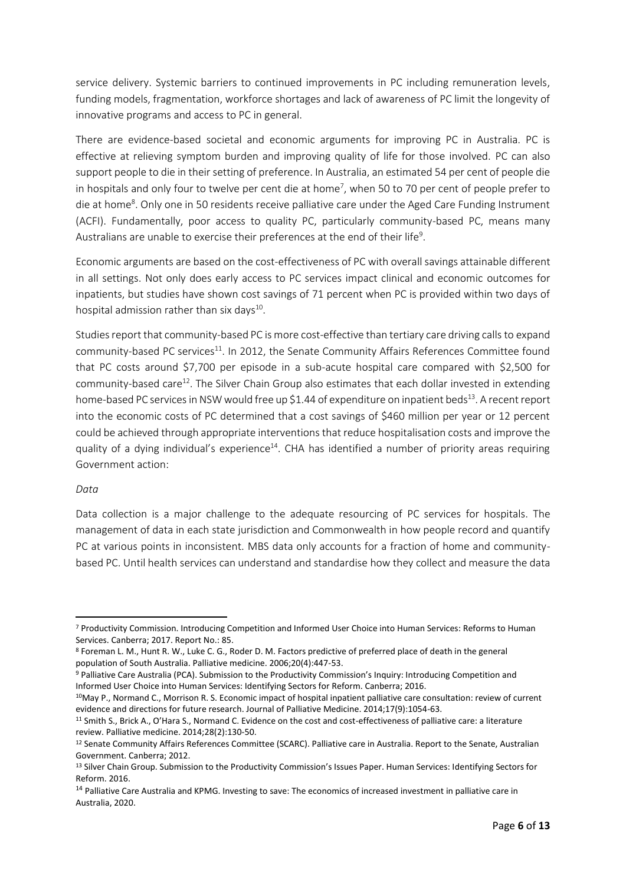service delivery. Systemic barriers to continued improvements in PC including remuneration levels, funding models, fragmentation, workforce shortages and lack of awareness of PC limit the longevity of innovative programs and access to PC in general.

There are evidence-based societal and economic arguments for improving PC in Australia. PC is effective at relieving symptom burden and improving quality of life for those involved. PC can also support people to die in their setting of preference. In Australia, an estimated 54 per cent of people die in hospitals and only four to twelve per cent die at home<sup>7</sup>, when 50 to 70 per cent of people prefer to die at home<sup>8</sup>. Only one in 50 residents receive palliative care under the Aged Care Funding Instrument (ACFI). Fundamentally, poor access to quality PC, particularly community-based PC, means many Australians are unable to exercise their preferences at the end of their life<sup>9</sup>.

Economic arguments are based on the cost-effectiveness of PC with overall savings attainable different in all settings. Not only does early access to PC services impact clinical and economic outcomes for inpatients, but studies have shown cost savings of 71 percent when PC is provided within two days of hospital admission rather than six days<sup>10</sup>.

Studies report that community-based PC is more cost-effective than tertiary care driving calls to expand community-based PC services<sup>11</sup>. In 2012, the Senate Community Affairs References Committee found that PC costs around \$7,700 per episode in a sub-acute hospital care compared with \$2,500 for community-based care<sup>12</sup>. The Silver Chain Group also estimates that each dollar invested in extending home-based PC services in NSW would free up \$1.44 of expenditure on inpatient beds<sup>13</sup>. A recent report into the economic costs of PC determined that a cost savings of \$460 million per year or 12 percent could be achieved through appropriate interventions that reduce hospitalisation costs and improve the quality of a dying individual's experience<sup>14</sup>. CHA has identified a number of priority areas requiring Government action:

#### *Data*

 $\overline{\phantom{a}}$ 

Data collection is a major challenge to the adequate resourcing of PC services for hospitals. The management of data in each state jurisdiction and Commonwealth in how people record and quantify PC at various points in inconsistent. MBS data only accounts for a fraction of home and communitybased PC. Until health services can understand and standardise how they collect and measure the data

<sup>7</sup> Productivity Commission. Introducing Competition and Informed User Choice into Human Services: Reforms to Human Services. Canberra; 2017. Report No.: 85.

<sup>8</sup> Foreman L. M., Hunt R. W., Luke C. G., Roder D. M. Factors predictive of preferred place of death in the general population of South Australia. Palliative medicine. 2006;20(4):447-53.

<sup>9</sup> Palliative Care Australia (PCA). Submission to the Productivity Commission's Inquiry: Introducing Competition and Informed User Choice into Human Services: Identifying Sectors for Reform. Canberra; 2016.

<sup>10</sup>May P., Normand C., Morrison R. S. Economic impact of hospital inpatient palliative care consultation: review of current evidence and directions for future research. Journal of Palliative Medicine. 2014;17(9):1054-63.

<sup>11</sup> Smith S., Brick A., O'Hara S., Normand C. Evidence on the cost and cost-effectiveness of palliative care: a literature review. Palliative medicine. 2014;28(2):130-50.

<sup>&</sup>lt;sup>12</sup> Senate Community Affairs References Committee (SCARC). Palliative care in Australia. Report to the Senate, Australian Government. Canberra; 2012.

<sup>&</sup>lt;sup>13</sup> Silver Chain Group. Submission to the Productivity Commission's Issues Paper. Human Services: Identifying Sectors for Reform. 2016.

<sup>&</sup>lt;sup>14</sup> Palliative Care Australia and KPMG. Investing to save: The economics of increased investment in palliative care in Australia, 2020.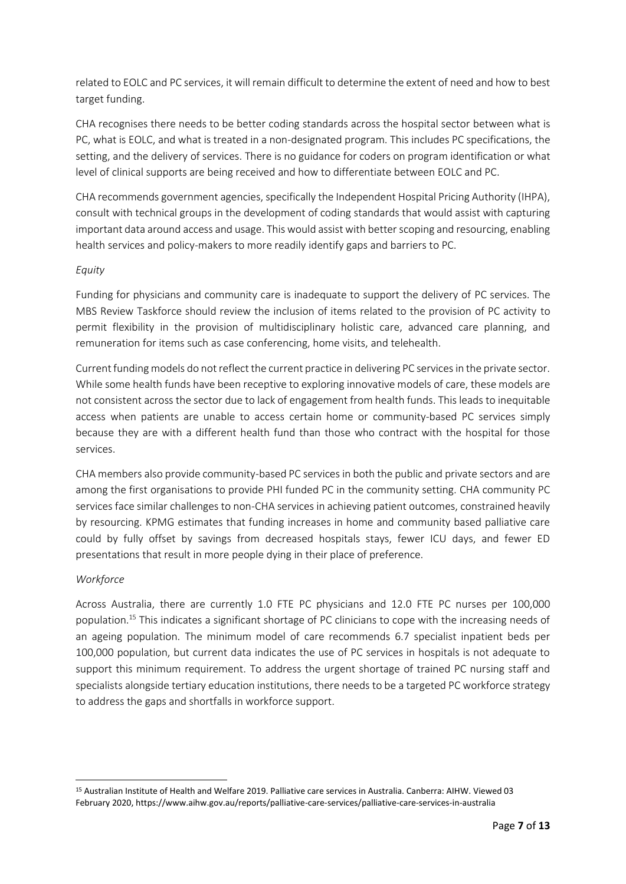related to EOLC and PC services, it will remain difficult to determine the extent of need and how to best target funding.

CHA recognises there needs to be better coding standards across the hospital sector between what is PC, what is EOLC, and what is treated in a non-designated program. This includes PC specifications, the setting, and the delivery of services. There is no guidance for coders on program identification or what level of clinical supports are being received and how to differentiate between EOLC and PC.

CHA recommends government agencies, specifically the Independent Hospital Pricing Authority (IHPA), consult with technical groups in the development of coding standards that would assist with capturing important data around access and usage. This would assist with better scoping and resourcing, enabling health services and policy-makers to more readily identify gaps and barriers to PC.

# *Equity*

Funding for physicians and community care is inadequate to support the delivery of PC services. The MBS Review Taskforce should review the inclusion of items related to the provision of PC activity to permit flexibility in the provision of multidisciplinary holistic care, advanced care planning, and remuneration for items such as case conferencing, home visits, and telehealth.

Current funding models do not reflect the current practice in delivering PC services in the private sector. While some health funds have been receptive to exploring innovative models of care, these models are not consistent across the sector due to lack of engagement from health funds. This leads to inequitable access when patients are unable to access certain home or community-based PC services simply because they are with a different health fund than those who contract with the hospital for those services.

CHA members also provide community-based PC services in both the public and private sectors and are among the first organisations to provide PHI funded PC in the community setting. CHA community PC services face similar challenges to non-CHA services in achieving patient outcomes, constrained heavily by resourcing. KPMG estimates that funding increases in home and community based palliative care could by fully offset by savings from decreased hospitals stays, fewer ICU days, and fewer ED presentations that result in more people dying in their place of preference.

### *Workforce*

**.** 

Across Australia, there are currently 1.0 FTE PC physicians and 12.0 FTE PC nurses per 100,000 population. <sup>15</sup> This indicates a significant shortage of PC clinicians to cope with the increasing needs of an ageing population. The minimum model of care recommends 6.7 specialist inpatient beds per 100,000 population, but current data indicates the use of PC services in hospitals is not adequate to support this minimum requirement. To address the urgent shortage of trained PC nursing staff and specialists alongside tertiary education institutions, there needs to be a targeted PC workforce strategy to address the gaps and shortfalls in workforce support.

<sup>15</sup> Australian Institute of Health and Welfare 2019. Palliative care services in Australia. Canberra: AIHW. Viewed 03 February 2020, https://www.aihw.gov.au/reports/palliative-care-services/palliative-care-services-in-australia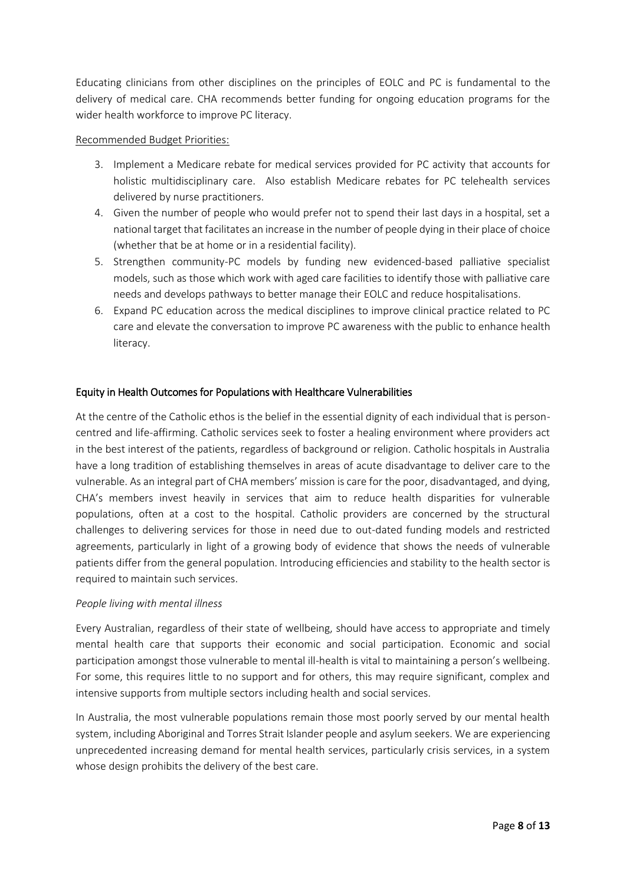Educating clinicians from other disciplines on the principles of EOLC and PC is fundamental to the delivery of medical care. CHA recommends better funding for ongoing education programs for the wider health workforce to improve PC literacy.

### Recommended Budget Priorities:

- 3. Implement a Medicare rebate for medical services provided for PC activity that accounts for holistic multidisciplinary care. Also establish Medicare rebates for PC telehealth services delivered by nurse practitioners.
- 4. Given the number of people who would prefer not to spend their last days in a hospital, set a national target that facilitates an increase in the number of people dying in their place of choice (whether that be at home or in a residential facility).
- 5. Strengthen community-PC models by funding new evidenced-based palliative specialist models, such as those which work with aged care facilities to identify those with palliative care needs and develops pathways to better manage their EOLC and reduce hospitalisations.
- 6. Expand PC education across the medical disciplines to improve clinical practice related to PC care and elevate the conversation to improve PC awareness with the public to enhance health literacy.

# Equity in Health Outcomes for Populations with Healthcare Vulnerabilities

At the centre of the Catholic ethos is the belief in the essential dignity of each individual that is personcentred and life-affirming. Catholic services seek to foster a healing environment where providers act in the best interest of the patients, regardless of background or religion. Catholic hospitals in Australia have a long tradition of establishing themselves in areas of acute disadvantage to deliver care to the vulnerable. As an integral part of CHA members' mission is care for the poor, disadvantaged, and dying, CHA's members invest heavily in services that aim to reduce health disparities for vulnerable populations, often at a cost to the hospital. Catholic providers are concerned by the structural challenges to delivering services for those in need due to out-dated funding models and restricted agreements, particularly in light of a growing body of evidence that shows the needs of vulnerable patients differ from the general population. Introducing efficiencies and stability to the health sector is required to maintain such services.

### *People living with mental illness*

Every Australian, regardless of their state of wellbeing, should have access to appropriate and timely mental health care that supports their economic and social participation. Economic and social participation amongst those vulnerable to mental ill-health is vital to maintaining a person's wellbeing. For some, this requires little to no support and for others, this may require significant, complex and intensive supports from multiple sectors including health and social services.

In Australia, the most vulnerable populations remain those most poorly served by our mental health system, including Aboriginal and Torres Strait Islander people and asylum seekers. We are experiencing unprecedented increasing demand for mental health services, particularly crisis services, in a system whose design prohibits the delivery of the best care.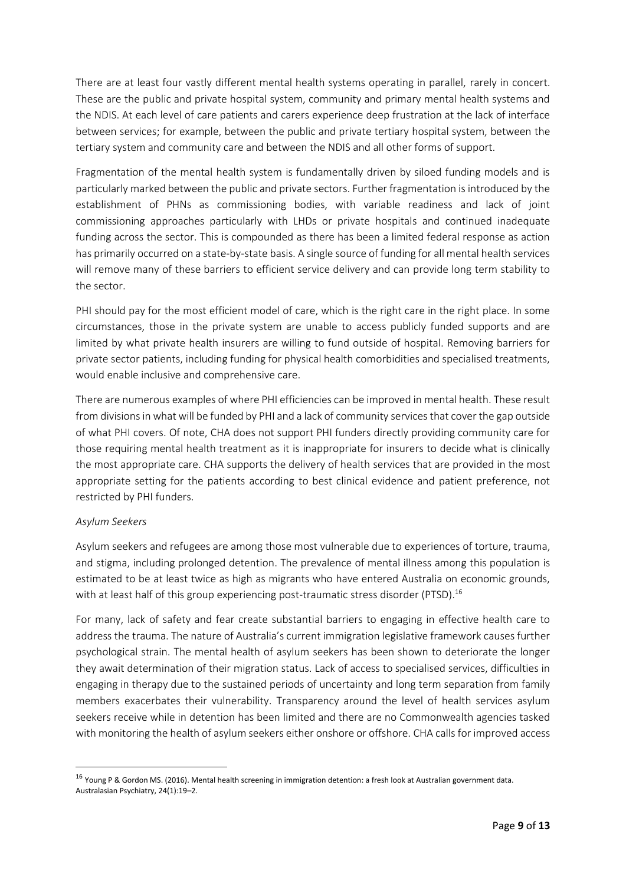There are at least four vastly different mental health systems operating in parallel, rarely in concert. These are the public and private hospital system, community and primary mental health systems and the NDIS. At each level of care patients and carers experience deep frustration at the lack of interface between services; for example, between the public and private tertiary hospital system, between the tertiary system and community care and between the NDIS and all other forms of support.

Fragmentation of the mental health system is fundamentally driven by siloed funding models and is particularly marked between the public and private sectors. Further fragmentation is introduced by the establishment of PHNs as commissioning bodies, with variable readiness and lack of joint commissioning approaches particularly with LHDs or private hospitals and continued inadequate funding across the sector. This is compounded as there has been a limited federal response as action has primarily occurred on a state-by-state basis. A single source of funding for all mental health services will remove many of these barriers to efficient service delivery and can provide long term stability to the sector.

PHI should pay for the most efficient model of care, which is the right care in the right place. In some circumstances, those in the private system are unable to access publicly funded supports and are limited by what private health insurers are willing to fund outside of hospital. Removing barriers for private sector patients, including funding for physical health comorbidities and specialised treatments, would enable inclusive and comprehensive care.

There are numerous examples of where PHI efficiencies can be improved in mental health. These result from divisions in what will be funded by PHI and a lack of community services that cover the gap outside of what PHI covers. Of note, CHA does not support PHI funders directly providing community care for those requiring mental health treatment as it is inappropriate for insurers to decide what is clinically the most appropriate care. CHA supports the delivery of health services that are provided in the most appropriate setting for the patients according to best clinical evidence and patient preference, not restricted by PHI funders.

### *Asylum Seekers*

 $\overline{\phantom{a}}$ 

Asylum seekers and refugees are among those most vulnerable due to experiences of torture, trauma, and stigma, including prolonged detention. The prevalence of mental illness among this population is estimated to be at least twice as high as migrants who have entered Australia on economic grounds, with at least half of this group experiencing post-traumatic stress disorder (PTSD).<sup>16</sup>

For many, lack of safety and fear create substantial barriers to engaging in effective health care to address the trauma. The nature of Australia's current immigration legislative framework causes further psychological strain. The mental health of asylum seekers has been shown to deteriorate the longer they await determination of their migration status. Lack of access to specialised services, difficulties in engaging in therapy due to the sustained periods of uncertainty and long term separation from family members exacerbates their vulnerability. Transparency around the level of health services asylum seekers receive while in detention has been limited and there are no Commonwealth agencies tasked with monitoring the health of asylum seekers either onshore or offshore. CHA calls for improved access

<sup>16</sup> Young P & Gordon MS. (2016). Mental health screening in immigration detention: a fresh look at Australian government data. Australasian Psychiatry, 24(1):19–2.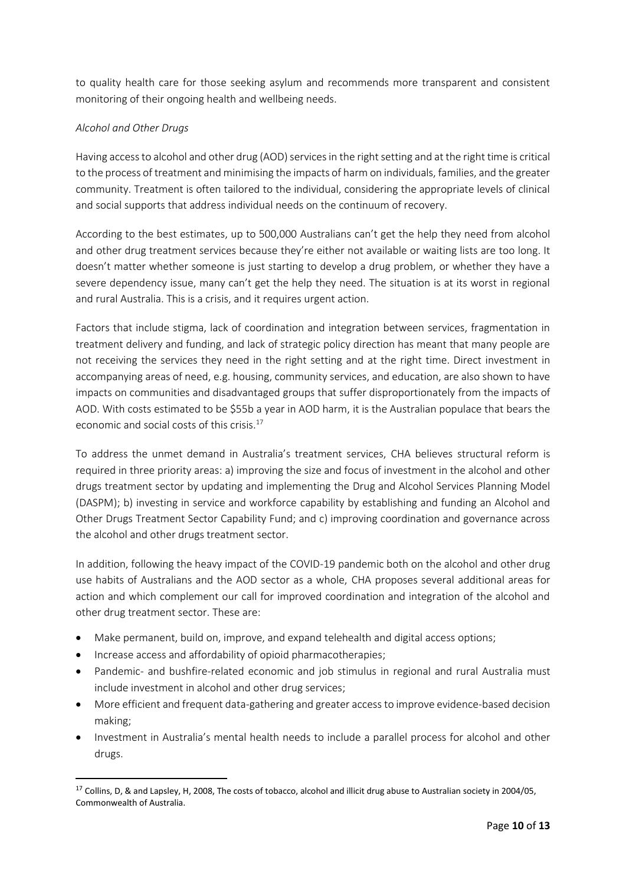to quality health care for those seeking asylum and recommends more transparent and consistent monitoring of their ongoing health and wellbeing needs.

# *Alcohol and Other Drugs*

Having access to alcohol and other drug (AOD) services in the right setting and at the right time is critical to the process of treatment and minimising the impacts of harm on individuals, families, and the greater community. Treatment is often tailored to the individual, considering the appropriate levels of clinical and social supports that address individual needs on the continuum of recovery.

According to the best estimates, up to 500,000 Australians can't get the help they need from alcohol and other drug treatment services because they're either not available or waiting lists are too long. It doesn't matter whether someone is just starting to develop a drug problem, or whether they have a severe dependency issue, many can't get the help they need. The situation is at its worst in regional and rural Australia. This is a crisis, and it requires urgent action.

Factors that include stigma, lack of coordination and integration between services, fragmentation in treatment delivery and funding, and lack of strategic policy direction has meant that many people are not receiving the services they need in the right setting and at the right time. Direct investment in accompanying areas of need, e.g. housing, community services, and education, are also shown to have impacts on communities and disadvantaged groups that suffer disproportionately from the impacts of AOD. With costs estimated to be \$55b a year in AOD harm, it is the Australian populace that bears the economic and social costs of this crisis. 17

To address the unmet demand in Australia's treatment services, CHA believes structural reform is required in three priority areas: a) improving the size and focus of investment in the alcohol and other drugs treatment sector by updating and implementing the Drug and Alcohol Services Planning Model (DASPM); b) investing in service and workforce capability by establishing and funding an Alcohol and Other Drugs Treatment Sector Capability Fund; and c) improving coordination and governance across the alcohol and other drugs treatment sector.

In addition, following the heavy impact of the COVID-19 pandemic both on the alcohol and other drug use habits of Australians and the AOD sector as a whole, CHA proposes several additional areas for action and which complement our call for improved coordination and integration of the alcohol and other drug treatment sector. These are:

- Make permanent, build on, improve, and expand telehealth and digital access options;
- Increase access and affordability of opioid pharmacotherapies;

**.** 

- Pandemic- and bushfire-related economic and job stimulus in regional and rural Australia must include investment in alcohol and other drug services;
- More efficient and frequent data-gathering and greater access to improve evidence-based decision making;
- Investment in Australia's mental health needs to include a parallel process for alcohol and other drugs.

<sup>&</sup>lt;sup>17</sup> Collins, D, & and Lapsley, H, 2008, The costs of tobacco, alcohol and illicit drug abuse to Australian society in 2004/05, Commonwealth of Australia.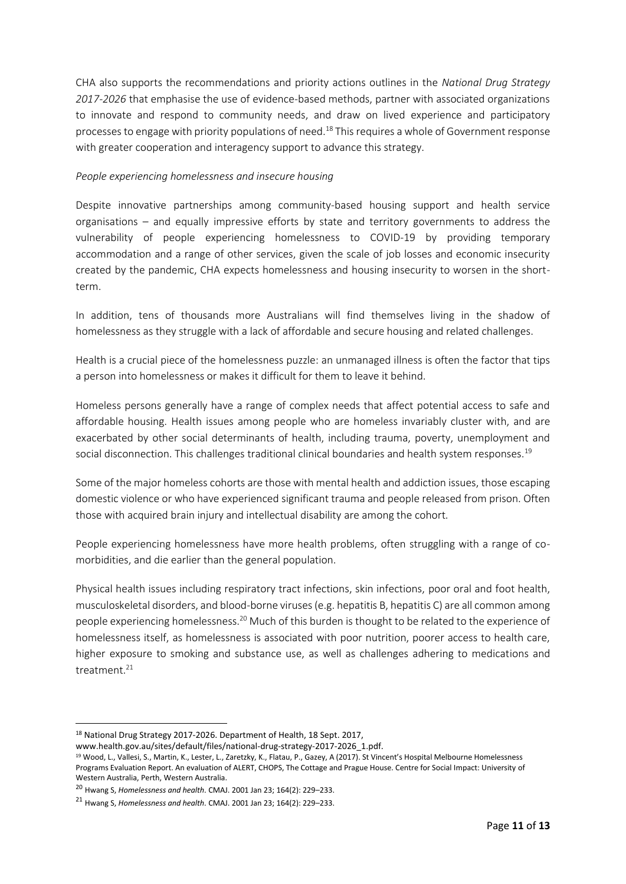CHA also supports the recommendations and priority actions outlines in the *National Drug Strategy 2017-2026* that emphasise the use of evidence-based methods, partner with associated organizations to innovate and respond to community needs, and draw on lived experience and participatory processes to engage with priority populations of need.<sup>18</sup> This requires a whole of Government response with greater cooperation and interagency support to advance this strategy.

### *People experiencing homelessness and insecure housing*

Despite innovative partnerships among community-based housing support and health service organisations – and equally impressive efforts by state and territory governments to address the vulnerability of people experiencing homelessness to COVID-19 by providing temporary accommodation and a range of other services, given the scale of job losses and economic insecurity created by the pandemic, CHA expects homelessness and housing insecurity to worsen in the shortterm.

In addition, tens of thousands more Australians will find themselves living in the shadow of homelessness as they struggle with a lack of affordable and secure housing and related challenges.

Health is a crucial piece of the homelessness puzzle: an unmanaged illness is often the factor that tips a person into homelessness or makes it difficult for them to leave it behind.

Homeless persons generally have a range of complex needs that affect potential access to safe and affordable housing. Health issues among people who are homeless invariably cluster with, and are exacerbated by other social determinants of health, including trauma, poverty, unemployment and social disconnection. This challenges traditional clinical boundaries and health system responses.<sup>19</sup>

Some of the major homeless cohorts are those with mental health and addiction issues, those escaping domestic violence or who have experienced significant trauma and people released from prison. Often those with acquired brain injury and intellectual disability are among the cohort.

People experiencing homelessness have more health problems, often struggling with a range of comorbidities, and die earlier than the general population.

Physical health issues including respiratory tract infections, skin infections, poor oral and foot health, musculoskeletal disorders, and blood-borne viruses (e.g. hepatitis B, hepatitis C) are all common among people experiencing homelessness.<sup>20</sup> Much of this burden is thought to be related to the experience of homelessness itself, as homelessness is associated with poor nutrition, poorer access to health care, higher exposure to smoking and substance use, as well as challenges adhering to medications and treatment.<sup>21</sup>

**.** 

<sup>18</sup> National Drug Strategy 2017-2026. Department of Health, 18 Sept. 2017,

www.health.gov.au/sites/default/files/national-drug-strategy-2017-2026\_1.pdf.

<sup>&</sup>lt;sup>19</sup> Wood, L., Vallesi, S., Martin, K., Lester, L., Zaretzky, K., Flatau, P., Gazey, A (2017). St Vincent's Hospital Melbourne Homelessness Programs Evaluation Report. An evaluation of ALERT, CHOPS, The Cottage and Prague House. Centre for Social Impact: University of Western Australia, Perth, Western Australia.

<sup>20</sup> Hwang S, *Homelessness and health*. CMAJ. 2001 Jan 23; 164(2): 229–233.

<sup>21</sup> Hwang S, *Homelessness and health*. CMAJ. 2001 Jan 23; 164(2): 229–233.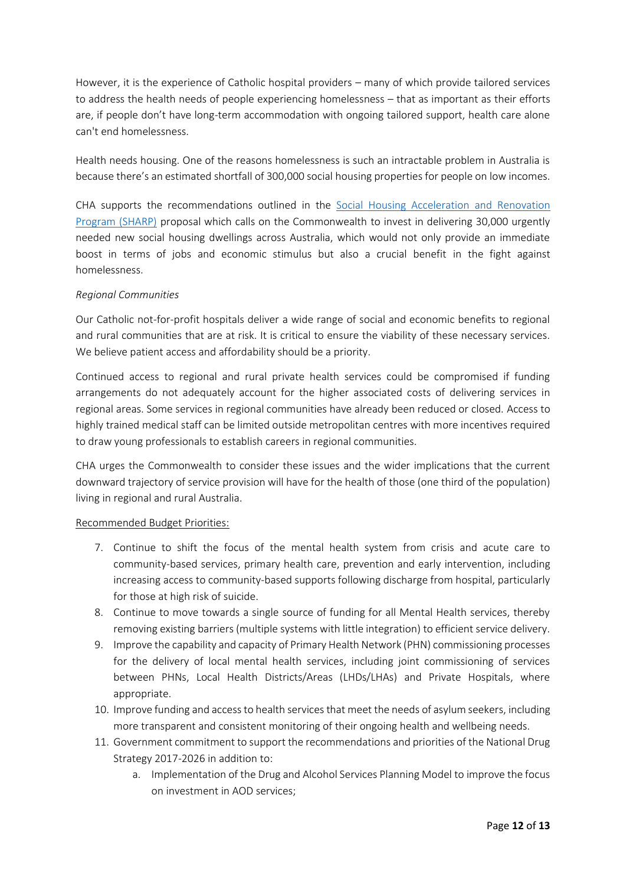However, it is the experience of Catholic hospital providers – many of which provide tailored services to address the health needs of people experiencing homelessness – that as important as their efforts are, if people don't have long-term accommodation with ongoing tailored support, health care alone can't end homelessness.

Health needs housing. One of the reasons homelessness is such an intractable problem in Australia is because there's an estimated shortfall of 300,000 social housing properties for people on low incomes.

CHA supports the recommendations outlined in the [Social Housing Acceleration and Renovation](https://www.communityhousing.com.au/wp-content/uploads/2020/05/SHARP-Program.pdf)  [Program \(SHARP\)](https://www.communityhousing.com.au/wp-content/uploads/2020/05/SHARP-Program.pdf) proposal which calls on the Commonwealth to invest in delivering 30,000 urgently needed new social housing dwellings across Australia, which would not only provide an immediate boost in terms of jobs and economic stimulus but also a crucial benefit in the fight against homelessness.

# *Regional Communities*

Our Catholic not-for-profit hospitals deliver a wide range of social and economic benefits to regional and rural communities that are at risk. It is critical to ensure the viability of these necessary services. We believe patient access and affordability should be a priority.

Continued access to regional and rural private health services could be compromised if funding arrangements do not adequately account for the higher associated costs of delivering services in regional areas. Some services in regional communities have already been reduced or closed. Access to highly trained medical staff can be limited outside metropolitan centres with more incentives required to draw young professionals to establish careers in regional communities.

CHA urges the Commonwealth to consider these issues and the wider implications that the current downward trajectory of service provision will have for the health of those (one third of the population) living in regional and rural Australia.

# Recommended Budget Priorities:

- 7. Continue to shift the focus of the mental health system from crisis and acute care to community-based services, primary health care, prevention and early intervention, including increasing access to community-based supports following discharge from hospital, particularly for those at high risk of suicide.
- 8. Continue to move towards a single source of funding for all Mental Health services, thereby removing existing barriers (multiple systems with little integration) to efficient service delivery.
- 9. Improve the capability and capacity of Primary Health Network (PHN) commissioning processes for the delivery of local mental health services, including joint commissioning of services between PHNs, Local Health Districts/Areas (LHDs/LHAs) and Private Hospitals, where appropriate.
- 10. Improve funding and access to health services that meet the needs of asylum seekers, including more transparent and consistent monitoring of their ongoing health and wellbeing needs.
- 11. Government commitment to support the recommendations and priorities of the National Drug Strategy 2017-2026 in addition to:
	- a. Implementation of the Drug and Alcohol Services Planning Model to improve the focus on investment in AOD services;